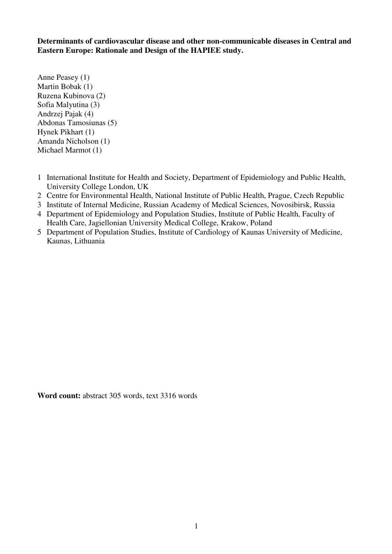**Determinants of cardiovascular disease and other non-communicable diseases in Central and Eastern Europe: Rationale and Design of the HAPIEE study.** 

Anne Peasey (1) Martin Bobak (1) Ruzena Kubinova (2) Sofia Malyutina (3) Andrzej Pajak (4) Abdonas Tamosiunas (5) Hynek Pikhart (1) Amanda Nicholson (1) Michael Marmot (1)

- 1 International Institute for Health and Society, Department of Epidemiology and Public Health, University College London, UK
- 2 Centre for Environmental Health, National Institute of Public Health, Prague, Czech Republic
- 3 Institute of Internal Medicine, Russian Academy of Medical Sciences, Novosibirsk, Russia
- 4 Department of Epidemiology and Population Studies, Institute of Public Health, Faculty of Health Care, Jagiellonian University Medical College, Krakow, Poland
- 5 Department of Population Studies, Institute of Cardiology of Kaunas University of Medicine, Kaunas, Lithuania

**Word count:** abstract 305 words, text 3316 words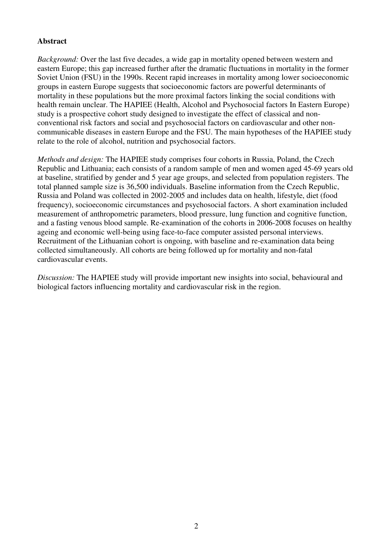## **Abstract**

*Background:* Over the last five decades, a wide gap in mortality opened between western and eastern Europe; this gap increased further after the dramatic fluctuations in mortality in the former Soviet Union (FSU) in the 1990s. Recent rapid increases in mortality among lower socioeconomic groups in eastern Europe suggests that socioeconomic factors are powerful determinants of mortality in these populations but the more proximal factors linking the social conditions with health remain unclear. The HAPIEE (Health, Alcohol and Psychosocial factors In Eastern Europe) study is a prospective cohort study designed to investigate the effect of classical and nonconventional risk factors and social and psychosocial factors on cardiovascular and other noncommunicable diseases in eastern Europe and the FSU. The main hypotheses of the HAPIEE study relate to the role of alcohol, nutrition and psychosocial factors.

*Methods and design:* The HAPIEE study comprises four cohorts in Russia, Poland, the Czech Republic and Lithuania; each consists of a random sample of men and women aged 45-69 years old at baseline, stratified by gender and 5 year age groups, and selected from population registers. The total planned sample size is 36,500 individuals. Baseline information from the Czech Republic, Russia and Poland was collected in 2002-2005 and includes data on health, lifestyle, diet (food frequency), socioeconomic circumstances and psychosocial factors. A short examination included measurement of anthropometric parameters, blood pressure, lung function and cognitive function, and a fasting venous blood sample. Re-examination of the cohorts in 2006-2008 focuses on healthy ageing and economic well-being using face-to-face computer assisted personal interviews. Recruitment of the Lithuanian cohort is ongoing, with baseline and re-examination data being collected simultaneously. All cohorts are being followed up for mortality and non-fatal cardiovascular events.

*Discussion:* The HAPIEE study will provide important new insights into social, behavioural and biological factors influencing mortality and cardiovascular risk in the region.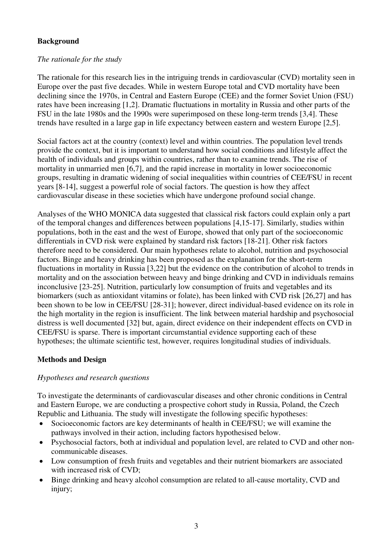# **Background**

## *The rationale for the study*

The rationale for this research lies in the intriguing trends in cardiovascular (CVD) mortality seen in Europe over the past five decades. While in western Europe total and CVD mortality have been declining since the 1970s, in Central and Eastern Europe (CEE) and the former Soviet Union (FSU) rates have been increasing [1,2]. Dramatic fluctuations in mortality in Russia and other parts of the FSU in the late 1980s and the 1990s were superimposed on these long-term trends [3,4]. These trends have resulted in a large gap in life expectancy between eastern and western Europe [2,5].

Social factors act at the country (context) level and within countries. The population level trends provide the context, but it is important to understand how social conditions and lifestyle affect the health of individuals and groups within countries, rather than to examine trends. The rise of mortality in unmarried men [6,7], and the rapid increase in mortality in lower socioeconomic groups, resulting in dramatic widening of social inequalities within countries of CEE/FSU in recent years [8-14], suggest a powerful role of social factors. The question is how they affect cardiovascular disease in these societies which have undergone profound social change.

Analyses of the WHO MONICA data suggested that classical risk factors could explain only a part of the temporal changes and differences between populations [4,15-17]. Similarly, studies within populations, both in the east and the west of Europe, showed that only part of the socioeconomic differentials in CVD risk were explained by standard risk factors [18-21]. Other risk factors therefore need to be considered. Our main hypotheses relate to alcohol, nutrition and psychosocial factors. Binge and heavy drinking has been proposed as the explanation for the short-term fluctuations in mortality in Russia [3,22] but the evidence on the contribution of alcohol to trends in mortality and on the association between heavy and binge drinking and CVD in individuals remains inconclusive [23-25]. Nutrition, particularly low consumption of fruits and vegetables and its biomarkers (such as antioxidant vitamins or folate), has been linked with CVD risk [26,27] and has been shown to be low in CEE/FSU [28-31]; however, direct individual-based evidence on its role in the high mortality in the region is insufficient. The link between material hardship and psychosocial distress is well documented [32] but, again, direct evidence on their independent effects on CVD in CEE/FSU is sparse. There is important circumstantial evidence supporting each of these hypotheses; the ultimate scientific test, however, requires longitudinal studies of individuals.

## **Methods and Design**

## *Hypotheses and research questions*

To investigate the determinants of cardiovascular diseases and other chronic conditions in Central and Eastern Europe, we are conducting a prospective cohort study in Russia, Poland, the Czech Republic and Lithuania. The study will investigate the following specific hypotheses:

- Socioeconomic factors are key determinants of health in CEE/FSU; we will examine the pathways involved in their action, including factors hypothesised below.
- · Psychosocial factors, both at individual and population level, are related to CVD and other noncommunicable diseases.
- · Low consumption of fresh fruits and vegetables and their nutrient biomarkers are associated with increased risk of CVD;
- · Binge drinking and heavy alcohol consumption are related to all-cause mortality, CVD and injury;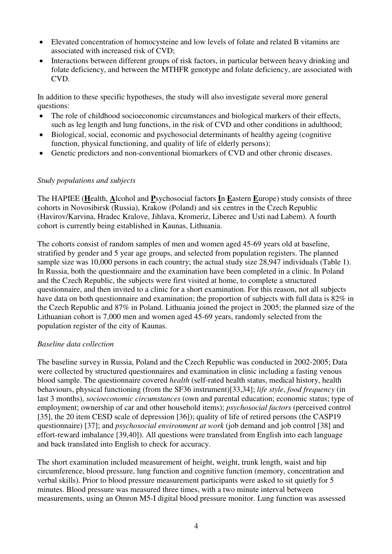- · Elevated concentration of homocysteine and low levels of folate and related B vitamins are associated with increased risk of CVD;
- Interactions between different groups of risk factors, in particular between heavy drinking and folate deficiency, and between the MTHFR genotype and folate deficiency, are associated with CVD.

In addition to these specific hypotheses, the study will also investigate several more general questions:

- The role of childhood socioeconomic circumstances and biological markers of their effects, such as leg length and lung functions, in the risk of CVD and other conditions in adulthood;
- Biological, social, economic and psychosocial determinants of healthy ageing (cognitive function, physical functioning, and quality of life of elderly persons);
- Genetic predictors and non-conventional biomarkers of CVD and other chronic diseases.

## *Study populations and subjects*

The HAPIEE (**H**ealth, **A**lcohol and **P**sychosocial factors **I**n **E**astern **E**urope) study consists of three cohorts in Novosibirsk (Russia), Krakow (Poland) and six centres in the Czech Republic (Havirov/Karvina, Hradec Kralove, Jihlava, Kromeriz, Liberec and Usti nad Labem). A fourth cohort is currently being established in Kaunas, Lithuania.

The cohorts consist of random samples of men and women aged 45-69 years old at baseline, stratified by gender and 5 year age groups, and selected from population registers. The planned sample size was 10,000 persons in each country; the actual study size 28,947 individuals (Table 1). In Russia, both the questionnaire and the examination have been completed in a clinic. In Poland and the Czech Republic, the subjects were first visited at home, to complete a structured questionnaire, and then invited to a clinic for a short examination. For this reason, not all subjects have data on both questionnaire and examination; the proportion of subjects with full data is 82% in the Czech Republic and 87% in Poland. Lithuania joined the project in 2005; the planned size of the Lithuanian cohort is 7,000 men and women aged 45-69 years, randomly selected from the population register of the city of Kaunas.

## *Baseline data collection*

The baseline survey in Russia, Poland and the Czech Republic was conducted in 2002-2005; Data were collected by structured questionnaires and examination in clinic including a fasting venous blood sample. The questionnaire covered *health* (self-rated health status, medical history, health behaviours, physical functioning (from the SF36 instrument)[33,34]; *life style*, *food frequency* (in last 3 months), *socioeconomic circumstances* (own and parental education; economic status; type of employment; ownership of car and other household items); *psychosocial factors* (perceived control [35], the 20 item CESD scale of depression [36]); quality of life of retired persons (the CASP19 questionnaire) [37]; and *psychosocial environment at work* (job demand and job control [38] and effort-reward imbalance [39,40]). All questions were translated from English into each language and back translated into English to check for accuracy.

The short examination included measurement of height, weight, trunk length, waist and hip circumference, blood pressure, lung function and cognitive function (memory, concentration and verbal skills). Prior to blood pressure measurement participants were asked to sit quietly for 5 minutes. Blood pressure was measured three times, with a two minute interval between measurements, using an Omron M5-I digital blood pressure monitor. Lung function was assessed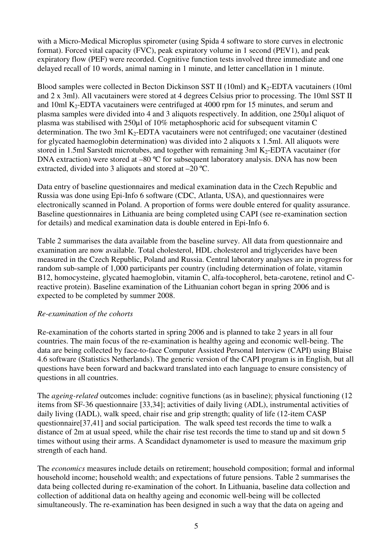with a Micro-Medical Microplus spirometer (using Spida 4 software to store curves in electronic format). Forced vital capacity (FVC), peak expiratory volume in 1 second (PEV1), and peak expiratory flow (PEF) were recorded. Cognitive function tests involved three immediate and one delayed recall of 10 words, animal naming in 1 minute, and letter cancellation in 1 minute.

Blood samples were collected in Becton Dickinson SST II (10ml) and  $K_2$ -EDTA vacutainers (10ml and 2 x 3ml). All vacutainers were stored at 4 degrees Celsius prior to processing. The 10ml SST II and 10ml K<sub>2</sub>-EDTA vacutainers were centrifuged at 4000 rpm for 15 minutes, and serum and plasma samples were divided into 4 and 3 aliquots respectively. In addition, one 250µl aliquot of plasma was stabilised with 250µl of 10% metaphosphoric acid for subsequent vitamin C determination. The two 3ml K<sub>2</sub>-EDTA vacutainers were not centrifuged; one vacutainer (destined for glycated haemoglobin determination) was divided into 2 aliquots x 1.5ml. All aliquots were stored in 1.5ml Sarstedt microtubes, and together with remaining 3ml  $K_2$ -EDTA vacutainer (for DNA extraction) were stored at –80 °C for subsequent laboratory analysis. DNA has now been extracted, divided into 3 aliquots and stored at –20 ºC.

Data entry of baseline questionnaires and medical examination data in the Czech Republic and Russia was done using Epi-Info 6 software (CDC, Atlanta, USA), and questionnaires were electronically scanned in Poland. A proportion of forms were double entered for quality assurance. Baseline questionnaires in Lithuania are being completed using CAPI (see re-examination section for details) and medical examination data is double entered in Epi-Info 6.

Table 2 summarises the data available from the baseline survey. All data from questionnaire and examination are now available. Total cholesterol, HDL cholesterol and triglycerides have been measured in the Czech Republic, Poland and Russia. Central laboratory analyses are in progress for random sub-sample of 1,000 participants per country (including determination of folate, vitamin B12, homocysteine, glycated haemoglobin, vitamin C, alfa-tocopherol, beta-carotene, retinol and Creactive protein). Baseline examination of the Lithuanian cohort began in spring 2006 and is expected to be completed by summer 2008.

## *Re-examination of the cohorts*

Re-examination of the cohorts started in spring 2006 and is planned to take 2 years in all four countries. The main focus of the re-examination is healthy ageing and economic well-being. The data are being collected by face-to-face Computer Assisted Personal Interview (CAPI) using Blaise 4.6 software (Statistics Netherlands). The generic version of the CAPI program is in English, but all questions have been forward and backward translated into each language to ensure consistency of questions in all countries.

The *ageing-related* outcomes include: cognitive functions (as in baseline); physical functioning (12 items from SF-36 questionnaire [33,34]; activities of daily living (ADL), instrumental activities of daily living (IADL), walk speed, chair rise and grip strength; quality of life (12-item CASP questionnaire[37,41] and social participation. The walk speed test records the time to walk a distance of 2m at usual speed, while the chair rise test records the time to stand up and sit down 5 times without using their arms. A Scandidact dynamometer is used to measure the maximum grip strength of each hand.

The *economics* measures include details on retirement; household composition; formal and informal household income; household wealth; and expectations of future pensions. Table 2 summarises the data being collected during re-examination of the cohort. In Lithuania, baseline data collection and collection of additional data on healthy ageing and economic well-being will be collected simultaneously. The re-examination has been designed in such a way that the data on ageing and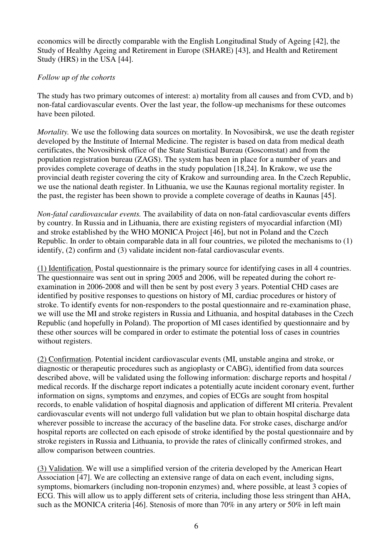economics will be directly comparable with the English Longitudinal Study of Ageing [42], the Study of Healthy Ageing and Retirement in Europe (SHARE) [43], and Health and Retirement Study (HRS) in the USA [44].

## *Follow up of the cohorts*

The study has two primary outcomes of interest: a) mortality from all causes and from CVD, and b) non-fatal cardiovascular events. Over the last year, the follow-up mechanisms for these outcomes have been piloted.

*Mortality.* We use the following data sources on mortality. In Novosibirsk, we use the death register developed by the Institute of Internal Medicine. The register is based on data from medical death certificates, the Novosibirsk office of the State Statistical Bureau (Goscomstat) and from the population registration bureau (ZAGS). The system has been in place for a number of years and provides complete coverage of deaths in the study population [18,24]. In Krakow, we use the provincial death register covering the city of Krakow and surrounding area. In the Czech Republic, we use the national death register. In Lithuania, we use the Kaunas regional mortality register. In the past, the register has been shown to provide a complete coverage of deaths in Kaunas [45].

*Non-fatal cardiovascular events.* The availability of data on non-fatal cardiovascular events differs by country. In Russia and in Lithuania, there are existing registers of myocardial infarction (MI) and stroke established by the WHO MONICA Project [46], but not in Poland and the Czech Republic. In order to obtain comparable data in all four countries, we piloted the mechanisms to (1) identify, (2) confirm and (3) validate incident non-fatal cardiovascular events.

(1) Identification. Postal questionnaire is the primary source for identifying cases in all 4 countries. The questionnaire was sent out in spring 2005 and 2006, will be repeated during the cohort reexamination in 2006-2008 and will then be sent by post every 3 years. Potential CHD cases are identified by positive responses to questions on history of MI, cardiac procedures or history of stroke. To identify events for non-responders to the postal questionnaire and re-examination phase, we will use the MI and stroke registers in Russia and Lithuania, and hospital databases in the Czech Republic (and hopefully in Poland). The proportion of MI cases identified by questionnaire and by these other sources will be compared in order to estimate the potential loss of cases in countries without registers.

(2) Confirmation. Potential incident cardiovascular events (MI, unstable angina and stroke, or diagnostic or therapeutic procedures such as angioplasty or CABG), identified from data sources described above, will be validated using the following information: discharge reports and hospital / medical records. If the discharge report indicates a potentially acute incident coronary event, further information on signs, symptoms and enzymes, and copies of ECGs are sought from hospital records, to enable validation of hospital diagnosis and application of different MI criteria. Prevalent cardiovascular events will not undergo full validation but we plan to obtain hospital discharge data wherever possible to increase the accuracy of the baseline data. For stroke cases, discharge and/or hospital reports are collected on each episode of stroke identified by the postal questionnaire and by stroke registers in Russia and Lithuania, to provide the rates of clinically confirmed strokes, and allow comparison between countries.

(3) Validation. We will use a simplified version of the criteria developed by the American Heart Association [47]. We are collecting an extensive range of data on each event, including signs, symptoms, biomarkers (including non-troponin enzymes) and, where possible, at least 3 copies of ECG. This will allow us to apply different sets of criteria, including those less stringent than AHA, such as the MONICA criteria [46]. Stenosis of more than 70% in any artery or 50% in left main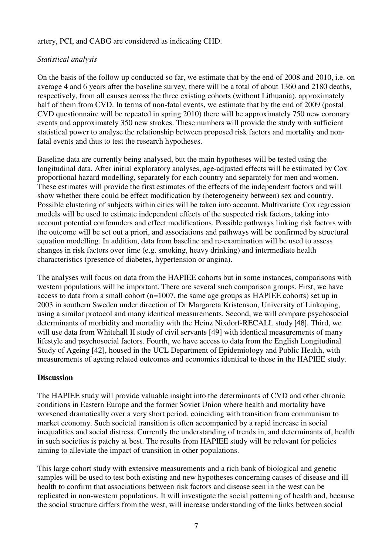## artery, PCI, and CABG are considered as indicating CHD.

## *Statistical analysis*

On the basis of the follow up conducted so far, we estimate that by the end of 2008 and 2010, i.e. on average 4 and 6 years after the baseline survey, there will be a total of about 1360 and 2180 deaths, respectively, from all causes across the three existing cohorts (without Lithuania), approximately half of them from CVD. In terms of non-fatal events, we estimate that by the end of 2009 (postal CVD questionnaire will be repeated in spring 2010) there will be approximately 750 new coronary events and approximately 350 new strokes. These numbers will provide the study with sufficient statistical power to analyse the relationship between proposed risk factors and mortality and nonfatal events and thus to test the research hypotheses.

Baseline data are currently being analysed, but the main hypotheses will be tested using the longitudinal data. After initial exploratory analyses, age-adjusted effects will be estimated by Cox proportional hazard modelling, separately for each country and separately for men and women. These estimates will provide the first estimates of the effects of the independent factors and will show whether there could be effect modification by (heterogeneity between) sex and country. Possible clustering of subjects within cities will be taken into account. Multivariate Cox regression models will be used to estimate independent effects of the suspected risk factors, taking into account potential confounders and effect modifications. Possible pathways linking risk factors with the outcome will be set out a priori, and associations and pathways will be confirmed by structural equation modelling. In addition, data from baseline and re-examination will be used to assess changes in risk factors over time (e.g. smoking, heavy drinking) and intermediate health characteristics (presence of diabetes, hypertension or angina).

The analyses will focus on data from the HAPIEE cohorts but in some instances, comparisons with western populations will be important. There are several such comparison groups. First, we have access to data from a small cohort (n=1007, the same age groups as HAPIEE cohorts) set up in 2003 in southern Sweden under direction of Dr Margareta Kristenson, University of Linkoping, using a similar protocol and many identical measurements. Second, we will compare psychosocial determinants of morbidity and mortality with the Heinz Nixdorf-RECALL study [48]. Third, we will use data from Whitehall II study of civil servants [49] with identical measurements of many lifestyle and psychosocial factors. Fourth, we have access to data from the English Longitudinal Study of Ageing [42], housed in the UCL Department of Epidemiology and Public Health, with measurements of ageing related outcomes and economics identical to those in the HAPIEE study.

### **Discussion**

The HAPIEE study will provide valuable insight into the determinants of CVD and other chronic conditions in Eastern Europe and the former Soviet Union where health and mortality have worsened dramatically over a very short period, coinciding with transition from communism to market economy. Such societal transition is often accompanied by a rapid increase in social inequalities and social distress. Currently the understanding of trends in, and determinants of, health in such societies is patchy at best. The results from HAPIEE study will be relevant for policies aiming to alleviate the impact of transition in other populations.

This large cohort study with extensive measurements and a rich bank of biological and genetic samples will be used to test both existing and new hypotheses concerning causes of disease and ill health to confirm that associations between risk factors and disease seen in the west can be replicated in non-western populations. It will investigate the social patterning of health and, because the social structure differs from the west, will increase understanding of the links between social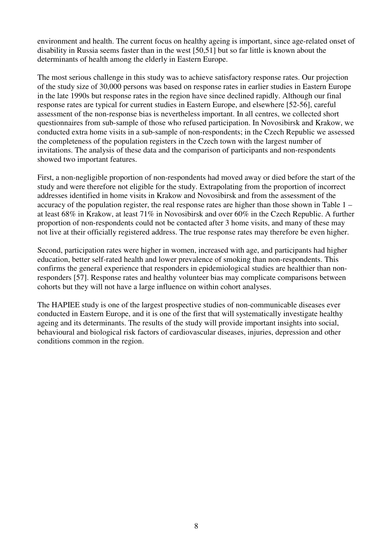environment and health. The current focus on healthy ageing is important, since age-related onset of disability in Russia seems faster than in the west [50,51] but so far little is known about the determinants of health among the elderly in Eastern Europe.

The most serious challenge in this study was to achieve satisfactory response rates. Our projection of the study size of 30,000 persons was based on response rates in earlier studies in Eastern Europe in the late 1990s but response rates in the region have since declined rapidly. Although our final response rates are typical for current studies in Eastern Europe, and elsewhere [52-56], careful assessment of the non-response bias is nevertheless important. In all centres, we collected short questionnaires from sub-sample of those who refused participation. In Novosibirsk and Krakow, we conducted extra home visits in a sub-sample of non-respondents; in the Czech Republic we assessed the completeness of the population registers in the Czech town with the largest number of invitations. The analysis of these data and the comparison of participants and non-respondents showed two important features.

First, a non-negligible proportion of non-respondents had moved away or died before the start of the study and were therefore not eligible for the study. Extrapolating from the proportion of incorrect addresses identified in home visits in Krakow and Novosibirsk and from the assessment of the accuracy of the population register, the real response rates are higher than those shown in Table 1 – at least 68% in Krakow, at least 71% in Novosibirsk and over 60% in the Czech Republic. A further proportion of non-respondents could not be contacted after 3 home visits, and many of these may not live at their officially registered address. The true response rates may therefore be even higher.

Second, participation rates were higher in women, increased with age, and participants had higher education, better self-rated health and lower prevalence of smoking than non-respondents. This confirms the general experience that responders in epidemiological studies are healthier than nonresponders [57]. Response rates and healthy volunteer bias may complicate comparisons between cohorts but they will not have a large influence on within cohort analyses.

The HAPIEE study is one of the largest prospective studies of non-communicable diseases ever conducted in Eastern Europe, and it is one of the first that will systematically investigate healthy ageing and its determinants. The results of the study will provide important insights into social, behavioural and biological risk factors of cardiovascular diseases, injuries, depression and other conditions common in the region.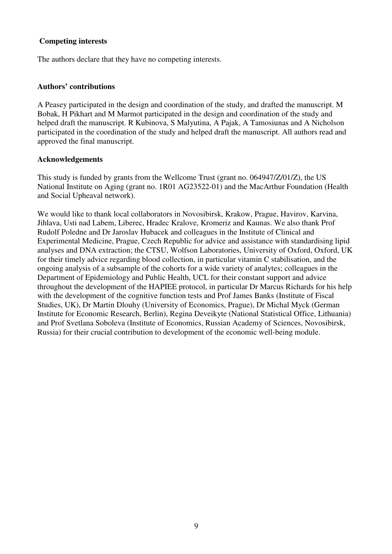## **Competing interests**

The authors declare that they have no competing interests.

#### **Authors' contributions**

A Peasey participated in the design and coordination of the study, and drafted the manuscript. M Bobak, H Pikhart and M Marmot participated in the design and coordination of the study and helped draft the manuscript. R Kubinova, S Malyutina, A Pajak, A Tamosiunas and A Nicholson participated in the coordination of the study and helped draft the manuscript. All authors read and approved the final manuscript.

#### **Acknowledgements**

This study is funded by grants from the Wellcome Trust (grant no. 064947/Z/01/Z), the US National Institute on Aging (grant no. 1R01 AG23522-01) and the MacArthur Foundation (Health and Social Upheaval network).

We would like to thank local collaborators in Novosibirsk, Krakow, Prague, Havirov, Karvina, Jihlava, Usti nad Labem, Liberec, Hradec Kralove, Kromeriz and Kaunas. We also thank Prof Rudolf Poledne and Dr Jaroslav Hubacek and colleagues in the Institute of Clinical and Experimental Medicine, Prague, Czech Republic for advice and assistance with standardising lipid analyses and DNA extraction; the CTSU, Wolfson Laboratories, University of Oxford, Oxford, UK for their timely advice regarding blood collection, in particular vitamin C stabilisation, and the ongoing analysis of a subsample of the cohorts for a wide variety of analytes; colleagues in the Department of Epidemiology and Public Health, UCL for their constant support and advice throughout the development of the HAPIEE protocol, in particular Dr Marcus Richards for his help with the development of the cognitive function tests and Prof James Banks (Institute of Fiscal Studies, UK), Dr Martin Dlouhy (University of Economics, Prague), Dr Michal Myck (German Institute for Economic Research, Berlin), Regina Deveikyte (National Statistical Office, Lithuania) and Prof Svetlana Soboleva (Institute of Economics, Russian Academy of Sciences, Novosibirsk, Russia) for their crucial contribution to development of the economic well-being module.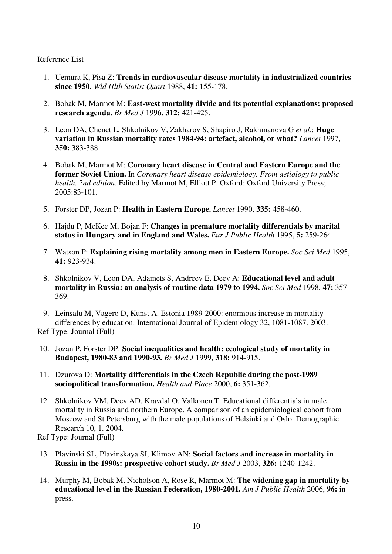Reference List

- 1. Uemura K, Pisa Z: **Trends in cardiovascular disease mortality in industrialized countries since 1950.** *Wld Hlth Statist Quart* 1988, **41:** 155-178.
- 2. Bobak M, Marmot M: **East-west mortality divide and its potential explanations: proposed research agenda.** *Br Med J* 1996, **312:** 421-425.
- 3. Leon DA, Chenet L, Shkolnikov V, Zakharov S, Shapiro J, Rakhmanova G *et al*.: **Huge variation in Russian mortality rates 1984-94: artefact, alcohol, or what?** *Lancet* 1997, **350:** 383-388.
- 4. Bobak M, Marmot M: **Coronary heart disease in Central and Eastern Europe and the former Soviet Union.** In *Coronary heart disease epidemiology. From aetiology to public health. 2nd edition.* Edited by Marmot M, Elliott P. Oxford: Oxford University Press; 2005:83-101.
- 5. Forster DP, Jozan P: **Health in Eastern Europe.** *Lancet* 1990, **335:** 458-460.
- 6. Hajdu P, McKee M, Bojan F: **Changes in premature mortality differentials by marital status in Hungary and in England and Wales.** *Eur J Public Health* 1995, **5:** 259-264.
- 7. Watson P: **Explaining rising mortality among men in Eastern Europe.** *Soc Sci Med* 1995, **41:** 923-934.
- 8. Shkolnikov V, Leon DA, Adamets S, Andreev E, Deev A: **Educational level and adult mortality in Russia: an analysis of routine data 1979 to 1994.** *Soc Sci Med* 1998, **47:** 357- 369.
- 9. Leinsalu M, Vagero D, Kunst A. Estonia 1989-2000: enormous increase in mortality differences by education. International Journal of Epidemiology 32, 1081-1087. 2003.

Ref Type: Journal (Full)

- 10. Jozan P, Forster DP: **Social inequalities and health: ecological study of mortality in Budapest, 1980-83 and 1990-93.** *Br Med J* 1999, **318:** 914-915.
- 11. Dzurova D: **Mortality differentials in the Czech Republic during the post-1989 sociopolitical transformation.** *Health and Place* 2000, **6:** 351-362.
- 12. Shkolnikov VM, Deev AD, Kravdal O, Valkonen T. Educational differentials in male mortality in Russia and northern Europe. A comparison of an epidemiological cohort from Moscow and St Petersburg with the male populations of Helsinki and Oslo. Demographic Research 10, 1. 2004.

Ref Type: Journal (Full)

- 13. Plavinski SL, Plavinskaya SI, Klimov AN: **Social factors and increase in mortality in Russia in the 1990s: prospective cohort study.** *Br Med J* 2003, **326:** 1240-1242.
- 14. Murphy M, Bobak M, Nicholson A, Rose R, Marmot M: **The widening gap in mortality by educational level in the Russian Federation, 1980-2001.** *Am J Public Health* 2006, **96:** in press.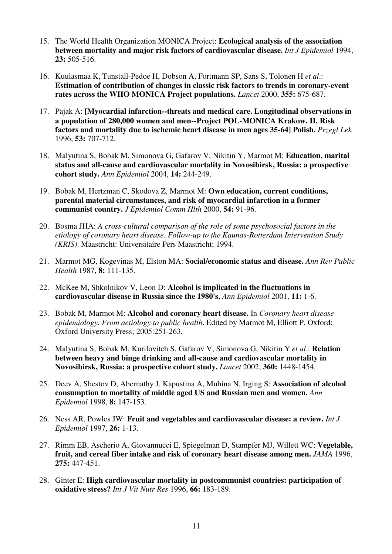- 15. The World Health Organization MONICA Project: **Ecological analysis of the association between mortality and major risk factors of cardiovascular disease.** *Int J Epidemiol* 1994, **23:** 505-516.
- 16. Kuulasmaa K, Tunstall-Pedoe H, Dobson A, Fortmann SP, Sans S, Tolonen H *et al*.: **Estimation of contribution of changes in classic risk factors to trends in coronary-event rates across the WHO MONICA Project populations.** *Lancet* 2000, **355:** 675-687.
- 17. Pajak A: **[Myocardial infarction--threats and medical care. Longitudinal observations in a population of 280,000 women and men--Project POL-MONICA Krakow. II. Risk factors and mortality due to ischemic heart disease in men ages 35-64] Polish.** *Przegl Lek* 1996, **53:** 707-712.
- 18. Malyutina S, Bobak M, Simonova G, Gafarov V, Nikitin Y, Marmot M: **Education, marital status and all-cause and cardiovascular mortality in Novosibirsk, Russia: a prospective cohort study.** *Ann Epidemiol* 2004, **14:** 244-249.
- 19. Bobak M, Hertzman C, Skodova Z, Marmot M: **Own education, current conditions, parental material circumstances, and risk of myocardial infarction in a former communist country.** *J Epidemiol Comm Hlth* 2000, **54:** 91-96.
- 20. Bosma JHA: *A cross-cultural comparison of the role of some psychosocial factors in the etiology of coronary heart disease. Follow-up to the Kaunas-Rotterdam Intervention Study (KRIS)*. Maastricht: Universitaire Pers Maastricht; 1994.
- 21. Marmot MG, Kogevinas M, Elston MA: **Social/economic status and disease.** *Ann Rev Public Health* 1987, **8:** 111-135.
- 22. McKee M, Shkolnikov V, Leon D: **Alcohol is implicated in the fluctuations in cardiovascular disease in Russia since the 1980's.** *Ann Epidemiol* 2001, **11:** 1-6.
- 23. Bobak M, Marmot M: **Alcohol and coronary heart disease.** In *Coronary heart disease epidemiology. From aetiology to public health*. Edited by Marmot M, Elliott P. Oxford: Oxford University Press; 2005:251-263.
- 24. Malyutina S, Bobak M, Kurilovitch S, Gafarov V, Simonova G, Nikitin Y *et al*.: **Relation between heavy and binge drinking and all-cause and cardiovascular mortality in Novosibirsk, Russia: a prospective cohort study.** *Lancet* 2002, **360:** 1448-1454.
- 25. Deev A, Shestov D, Abernathy J, Kapustina A, Muhina N, Irging S: **Association of alcohol consumption to mortality of middle aged US and Russian men and women.** *Ann Epidemiol* 1998, **8:** 147-153.
- 26. Ness AR, Powles JW: **Fruit and vegetables and cardiovascular disease: a review.** *Int J Epidemiol* 1997, **26:** 1-13.
- 27. Rimm EB, Ascherio A, Giovannucci E, Spiegelman D, Stampfer MJ, Willett WC: **Vegetable, fruit, and cereal fiber intake and risk of coronary heart disease among men.** *JAMA* 1996, **275:** 447-451.
- 28. Ginter E: **High cardiovascular mortality in postcommunist countries: participation of oxidative stress?** *Int J Vit Nutr Res* 1996, **66:** 183-189.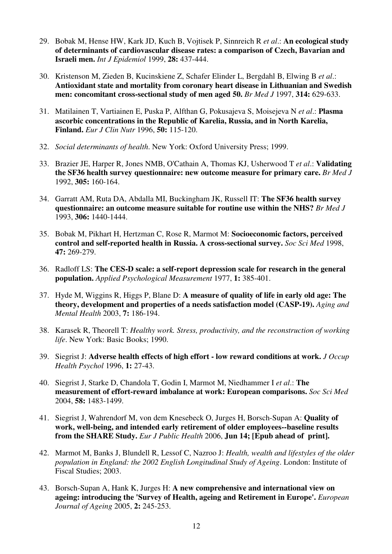- 29. Bobak M, Hense HW, Kark JD, Kuch B, Vojtisek P, Sinnreich R *et al*.: **An ecological study of determinants of cardiovascular disease rates: a comparison of Czech, Bavarian and Israeli men.** *Int J Epidemiol* 1999, **28:** 437-444.
- 30. Kristenson M, Zieden B, Kucinskiene Z, Schafer Elinder L, Bergdahl B, Elwing B *et al*.: **Antioxidant state and mortality from coronary heart disease in Lithuanian and Swedish men: concomitant cross-sectional study of men aged 50.** *Br Med J* 1997, **314:** 629-633.
- 31. Matilainen T, Vartiainen E, Puska P, Alfthan G, Pokusajeva S, Moisejeva N *et al*.: **Plasma ascorbic concentrations in the Republic of Karelia, Russia, and in North Karelia, Finland.** *Eur J Clin Nutr* 1996, **50:** 115-120.
- 32. *Social determinants of health*. New York: Oxford University Press; 1999.
- 33. Brazier JE, Harper R, Jones NMB, O'Cathain A, Thomas KJ, Usherwood T *et al*.: **Validating the SF36 health survey questionnaire: new outcome measure for primary care.** *Br Med J* 1992, **305:** 160-164.
- 34. Garratt AM, Ruta DA, Abdalla MI, Buckingham JK, Russell IT: **The SF36 health survey questionnaire: an outcome measure suitable for routine use within the NHS?** *Br Med J* 1993, **306:** 1440-1444.
- 35. Bobak M, Pikhart H, Hertzman C, Rose R, Marmot M: **Socioeconomic factors, perceived control and self-reported health in Russia. A cross-sectional survey.** *Soc Sci Med* 1998, **47:** 269-279.
- 36. Radloff LS: **The CES-D scale: a self-report depression scale for research in the general population.** *Applied Psychological Measurement* 1977, **1:** 385-401.
- 37. Hyde M, Wiggins R, Higgs P, Blane D: **A measure of quality of life in early old age: The theory, development and properties of a needs satisfaction model (CASP-19).** *Aging and Mental Health* 2003, **7:** 186-194.
- 38. Karasek R, Theorell T: *Healthy work. Stress, productivity, and the reconstruction of working life*. New York: Basic Books; 1990.
- 39. Siegrist J: **Adverse health effects of high effort low reward conditions at work.** *J Occup Health Psychol* 1996, **1:** 27-43.
- 40. Siegrist J, Starke D, Chandola T, Godin I, Marmot M, Niedhammer I *et al*.: **The measurement of effort-reward imbalance at work: European comparisons.** *Soc Sci Med* 2004, **58:** 1483-1499.
- 41. Siegrist J, Wahrendorf M, von dem Knesebeck O, Jurges H, Borsch-Supan A: **Quality of work, well-being, and intended early retirement of older employees--baseline results from the SHARE Study.** *Eur J Public Health* 2006, **Jun 14; [Epub ahead of print].**
- 42. Marmot M, Banks J, Blundell R, Lessof C, Nazroo J: *Health, wealth and lifestyles of the older population in England: the 2002 English Longitudinal Study of Ageing*. London: Institute of Fiscal Studies; 2003.
- 43. Borsch-Supan A, Hank K, Jurges H: **A new comprehensive and international view on ageing: introducing the 'Survey of Health, ageing and Retirement in Europe'.** *European Journal of Ageing* 2005, **2:** 245-253.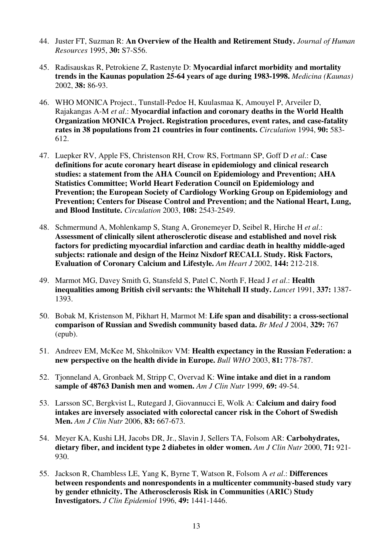- 44. Juster FT, Suzman R: **An Overview of the Health and Retirement Study.** *Journal of Human Resources* 1995, **30:** S7-S56.
- 45. Radisauskas R, Petrokiene Z, Rastenyte D: **Myocardial infarct morbidity and mortality trends in the Kaunas population 25-64 years of age during 1983-1998.** *Medicina (Kaunas)* 2002, **38:** 86-93.
- 46. WHO MONICA Project., Tunstall-Pedoe H, Kuulasmaa K, Amouyel P, Arveiler D, Rajakangas A-M *et al*.: **Myocardial infaction and coronary deaths in the World Health Organization MONICA Project. Registration procedures, event rates, and case-fatality rates in 38 populations from 21 countries in four continents.** *Circulation* 1994, **90:** 583- 612.
- 47. Luepker RV, Apple FS, Christenson RH, Crow RS, Fortmann SP, Goff D *et al*.: **Case definitions for acute coronary heart disease in epidemiology and clinical research studies: a statement from the AHA Council on Epidemiology and Prevention; AHA Statistics Committee; World Heart Federation Council on Epidemiology and Prevention; the European Society of Cardiology Working Group on Epidemiology and Prevention; Centers for Disease Control and Prevention; and the National Heart, Lung, and Blood Institute.** *Circulation* 2003, **108:** 2543-2549.
- 48. Schmermund A, Mohlenkamp S, Stang A, Gronemeyer D, Seibel R, Hirche H *et al*.: **Assessment of clinically silent atherosclerotic disease and established and novel risk factors for predicting myocardial infarction and cardiac death in healthy middle-aged subjects: rationale and design of the Heinz Nixdorf RECALL Study. Risk Factors, Evaluation of Coronary Calcium and Lifestyle.** *Am Heart J* 2002, **144:** 212-218.
- 49. Marmot MG, Davey Smith G, Stansfeld S, Patel C, North F, Head J *et al*.: **Health inequalities among British civil servants: the Whitehall II study.** *Lancet* 1991, **337:** 1387- 1393.
- 50. Bobak M, Kristenson M, Pikhart H, Marmot M: **Life span and disability: a cross-sectional comparison of Russian and Swedish community based data.** *Br Med J* 2004, **329:** 767 (epub).
- 51. Andreev EM, McKee M, Shkolnikov VM: **Health expectancy in the Russian Federation: a new perspective on the health divide in Europe.** *Bull WHO* 2003, **81:** 778-787.
- 52. Tjonneland A, Gronbaek M, Stripp C, Overvad K: **Wine intake and diet in a random sample of 48763 Danish men and women.** *Am J Clin Nutr* 1999, **69:** 49-54.
- 53. Larsson SC, Bergkvist L, Rutegard J, Giovannucci E, Wolk A: **Calcium and dairy food intakes are inversely associated with colorectal cancer risk in the Cohort of Swedish Men.** *Am J Clin Nutr* 2006, **83:** 667-673.
- 54. Meyer KA, Kushi LH, Jacobs DR, Jr., Slavin J, Sellers TA, Folsom AR: **Carbohydrates, dietary fiber, and incident type 2 diabetes in older women.** *Am J Clin Nutr* 2000, **71:** 921- 930.
- 55. Jackson R, Chambless LE, Yang K, Byrne T, Watson R, Folsom A *et al*.: **Differences between respondents and nonrespondents in a multicenter community-based study vary by gender ethnicity. The Atherosclerosis Risk in Communities (ARIC) Study Investigators.** *J Clin Epidemiol* 1996, **49:** 1441-1446.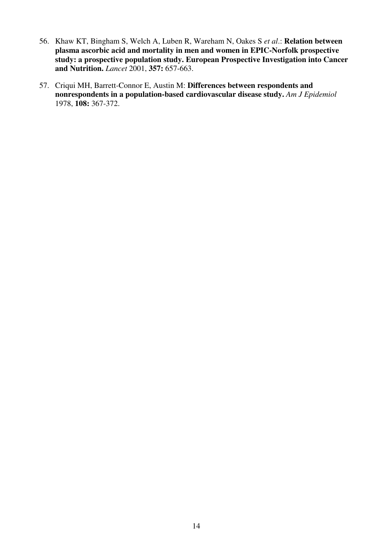- 56. Khaw KT, Bingham S, Welch A, Luben R, Wareham N, Oakes S *et al*.: **Relation between plasma ascorbic acid and mortality in men and women in EPIC-Norfolk prospective study: a prospective population study. European Prospective Investigation into Cancer and Nutrition.** *Lancet* 2001, **357:** 657-663.
- 57. Criqui MH, Barrett-Connor E, Austin M: **Differences between respondents and nonrespondents in a population-based cardiovascular disease study.** *Am J Epidemiol* 1978, **108:** 367-372.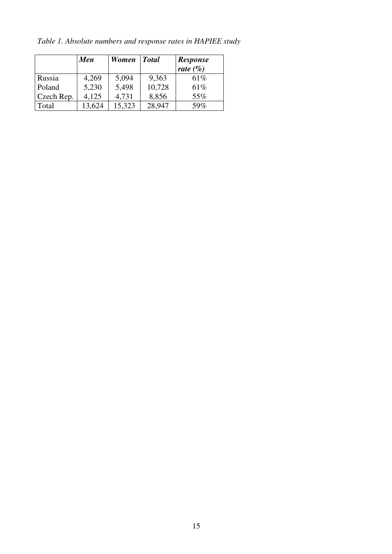*Table 1. Absolute numbers and response rates in HAPIEE study*

|            | <b>Men</b> | Women Total |        | <b>Response</b><br>rate $(\% )$ |
|------------|------------|-------------|--------|---------------------------------|
| Russia     | 4,269      | 5,094       | 9,363  | 61\%                            |
| Poland     | 5,230      | 5,498       | 10,728 | 61\%                            |
| Czech Rep. | 4,125      | 4,731       | 8,856  | 55%                             |
| Total      | 13,624     | 15,323      | 28,947 | 59%                             |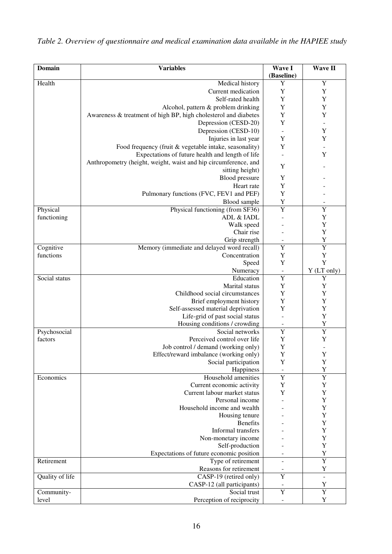| <b>Domain</b>   | <b>Variables</b>                                                | Wave I<br>(Baseline)     | <b>Wave II</b> |
|-----------------|-----------------------------------------------------------------|--------------------------|----------------|
| Health          | Medical history                                                 | Y                        | Y              |
|                 | Current medication                                              | Y                        | Y              |
|                 | Self-rated health                                               | Y                        | Y              |
|                 | Alcohol, pattern & problem drinking                             |                          | Y              |
|                 | Awareness & treatment of high BP, high cholesterol and diabetes | Y<br>Y                   | Y              |
|                 | Depression (CESD-20)                                            | Y                        |                |
|                 | Depression (CESD-10)                                            |                          | Y              |
|                 | Injuries in last year                                           | Y                        | Y              |
|                 | Food frequency (fruit & vegetable intake, seasonality)          | Y                        |                |
|                 | Expectations of future health and length of life                |                          | Y              |
|                 | Anthropometry (height, weight, waist and hip circumference, and |                          |                |
|                 | sitting height)                                                 | Y                        |                |
|                 | Blood pressure                                                  | Y                        |                |
|                 | Heart rate                                                      | Y                        |                |
|                 | Pulmonary functions (FVC, FEV1 and PEF)                         | Y                        |                |
|                 | Blood sample                                                    | Y                        |                |
| Physical        | Physical functioning (from SF36)                                | $\overline{Y}$           | Y              |
| functioning     | ADL & IADL                                                      |                          | Y              |
|                 | Walk speed                                                      |                          | Y              |
|                 | Chair rise                                                      |                          | Y              |
|                 | Grip strength                                                   |                          | Y              |
| Cognitive       | Memory (immediate and delayed word recall)                      | Y                        | $\overline{Y}$ |
| functions       | Concentration                                                   | Y                        | Y              |
|                 | Speed                                                           | Y                        | Y              |
|                 | Numeracy                                                        | $\overline{\phantom{a}}$ | Y (LT only)    |
| Social status   | Education                                                       | $\overline{Y}$           | Y              |
|                 | Marital status                                                  | Y                        | $\mathbf Y$    |
|                 | Childhood social circumstances                                  | Y                        | Y              |
|                 | Brief employment history                                        | Y                        | Y              |
|                 | Self-assessed material deprivation                              | Y                        | Y              |
|                 | Life-grid of past social status                                 |                          | Y              |
|                 | Housing conditions / crowding                                   | ÷                        | Y              |
| Psychosocial    | Social networks                                                 | $\overline{Y}$           | Ÿ              |
| factors         | Perceived control over life                                     | $\mathbf Y$              | Y              |
|                 | Job control / demand (working only)                             | Y                        |                |
|                 | Effect/reward imbalance (working only)                          | $\mathbf Y$              | Y              |
|                 | Social participation                                            | Y                        | Y              |
|                 | Happiness                                                       |                          | Y              |
| Economics       | Household amenities                                             | Y                        | Y              |
|                 | Current economic activity                                       | Y                        | Y              |
|                 | Current labour market status                                    | Y                        | $\mathbf Y$    |
|                 | Personal income                                                 |                          | Y              |
|                 | Household income and wealth                                     |                          | Y              |
|                 | Housing tenure                                                  |                          | Y              |
|                 | <b>Benefits</b><br>Informal transfers                           |                          | Y<br>Y         |
|                 |                                                                 |                          | Y              |
|                 | Non-monetary income<br>Self-production                          |                          | Y              |
|                 | Expectations of future economic position                        |                          | $\mathbf Y$    |
| Retirement      | Type of retirement                                              | $\overline{a}$           | $\overline{Y}$ |
|                 | Reasons for retirement                                          |                          | $\mathbf Y$    |
| Quality of life | CASP-19 (retired only)                                          | Y                        | $\overline{a}$ |
|                 | CASP-12 (all participants)                                      |                          | Y              |
| Community-      | Social trust                                                    | Y                        | Y              |
| level           | Perception of reciprocity                                       |                          | $\mathbf Y$    |
|                 |                                                                 |                          |                |